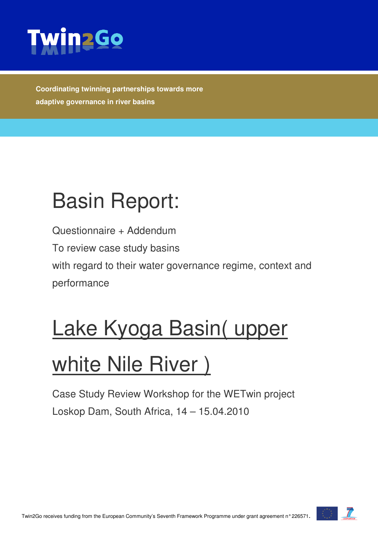

**Coordinating twinning partnerships towards more adaptive governance in river basins** 

# Basin Report:

Questionnaire + Addendum To review case study basins with regard to their water governance regime, context and performance

# Lake Kyoga Basin( upper

# white Nile River)

Case Study Review Workshop for the WETwin project Loskop Dam, South Africa, 14 – 15.04.2010

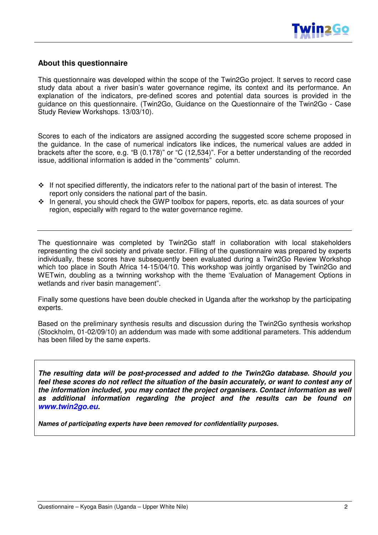

#### **About this questionnaire**

This questionnaire was developed within the scope of the Twin2Go project. It serves to record case study data about a river basin's water governance regime, its context and its performance. An explanation of the indicators, pre-defined scores and potential data sources is provided in the guidance on this questionnaire. (Twin2Go, Guidance on the Questionnaire of the Twin2Go - Case Study Review Workshops. 13/03/10).

Scores to each of the indicators are assigned according the suggested score scheme proposed in the guidance. In the case of numerical indicators like indices, the numerical values are added in brackets after the score, e.g. "B (0.178)" or "C (12,534)". For a better understanding of the recorded issue, additional information is added in the "comments" column.

- If not specified differently, the indicators refer to the national part of the basin of interest. The report only considers the national part of the basin.
- $\cdot \cdot$  In general, you should check the GWP toolbox for papers, reports, etc. as data sources of your region, especially with regard to the water governance regime.

The questionnaire was completed by Twin2Go staff in collaboration with local stakeholders representing the civil society and private sector. Filling of the questionnaire was prepared by experts individually, these scores have subsequently been evaluated during a Twin2Go Review Workshop which too place in South Africa 14-15/04/10. This workshop was jointly organised by Twin2Go and WETwin, doubling as a twinning workshop with the theme 'Evaluation of Management Options in wetlands and river basin management".

Finally some questions have been double checked in Uganda after the workshop by the participating experts.

Based on the preliminary synthesis results and discussion during the Twin2Go synthesis workshop (Stockholm, 01-02/09/10) an addendum was made with some additional parameters. This addendum has been filled by the same experts.

**The resulting data will be post-processed and added to the Twin2Go database. Should you feel these scores do not reflect the situation of the basin accurately, or want to contest any of the information included, you may contact the project organisers. Contact information as well as additional information regarding the project and the results can be found on www.twin2go.eu.** 

**Names of participating experts have been removed for confidentiality purposes.**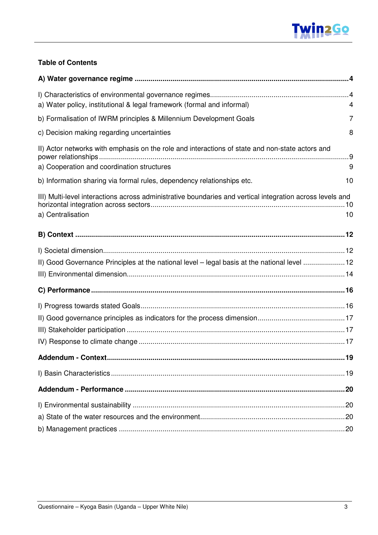

### **Table of Contents**

| a) Water policy, institutional & legal framework (formal and informal)                                                         | 4    |
|--------------------------------------------------------------------------------------------------------------------------------|------|
| b) Formalisation of IWRM principles & Millennium Development Goals                                                             | 7    |
| c) Decision making regarding uncertainties                                                                                     | 8    |
| II) Actor networks with emphasis on the role and interactions of state and non-state actors and                                |      |
| a) Cooperation and coordination structures                                                                                     | 9    |
| b) Information sharing via formal rules, dependency relationships etc.                                                         | 10   |
| III) Multi-level interactions across administrative boundaries and vertical integration across levels and<br>a) Centralisation | 10   |
|                                                                                                                                |      |
| II) Good Governance Principles at the national level - legal basis at the national level 12                                    |      |
|                                                                                                                                |      |
|                                                                                                                                |      |
| <b>Addendum - Context</b>                                                                                                      | . 19 |
|                                                                                                                                |      |
|                                                                                                                                |      |
|                                                                                                                                |      |
|                                                                                                                                |      |
|                                                                                                                                |      |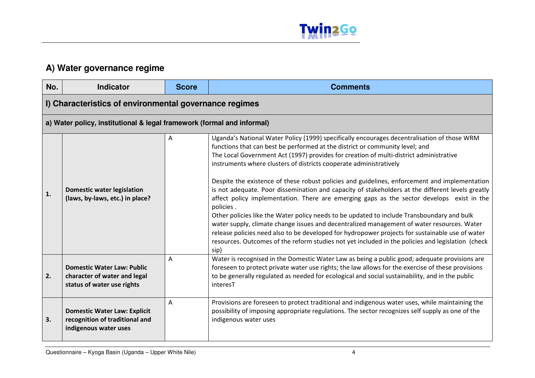

## **A) Water governance regime**

| No. | <b>Indicator</b>                                                                                | <b>Score</b> | <b>Comments</b>                                                                                                                                                                                                                                                                                                                                                                                                                                                                                                                                                                                                                                                                                                                                                                                                                                                                                                                                                                                                                                                        |
|-----|-------------------------------------------------------------------------------------------------|--------------|------------------------------------------------------------------------------------------------------------------------------------------------------------------------------------------------------------------------------------------------------------------------------------------------------------------------------------------------------------------------------------------------------------------------------------------------------------------------------------------------------------------------------------------------------------------------------------------------------------------------------------------------------------------------------------------------------------------------------------------------------------------------------------------------------------------------------------------------------------------------------------------------------------------------------------------------------------------------------------------------------------------------------------------------------------------------|
|     | I) Characteristics of environmental governance regimes                                          |              |                                                                                                                                                                                                                                                                                                                                                                                                                                                                                                                                                                                                                                                                                                                                                                                                                                                                                                                                                                                                                                                                        |
|     | a) Water policy, institutional & legal framework (formal and informal)                          |              |                                                                                                                                                                                                                                                                                                                                                                                                                                                                                                                                                                                                                                                                                                                                                                                                                                                                                                                                                                                                                                                                        |
| 1.  | <b>Domestic water legislation</b><br>(laws, by-laws, etc.) in place?                            | Α            | Uganda's National Water Policy (1999) specifically encourages decentralisation of those WRM<br>functions that can best be performed at the district or community level; and<br>The Local Government Act (1997) provides for creation of multi-district administrative<br>instruments where clusters of districts cooperate administratively<br>Despite the existence of these robust policies and guidelines, enforcement and implementation<br>is not adequate. Poor dissemination and capacity of stakeholders at the different levels greatly<br>affect policy implementation. There are emerging gaps as the sector develops exist in the<br>policies.<br>Other policies like the Water policy needs to be updated to include Transboundary and bulk<br>water supply, climate change issues and decentralized management of water resources. Water<br>release policies need also to be developed for hydropower projects for sustainable use of water<br>resources. Outcomes of the reform studies not yet included in the policies and legislation (check<br>sip) |
| 2.  | <b>Domestic Water Law: Public</b><br>character of water and legal<br>status of water use rights | A            | Water is recognised in the Domestic Water Law as being a public good; adequate provisions are<br>foreseen to protect private water use rights; the law allows for the exercise of these provisions<br>to be generally regulated as needed for ecological and social sustainability, and in the public<br>interesT                                                                                                                                                                                                                                                                                                                                                                                                                                                                                                                                                                                                                                                                                                                                                      |
| 3.  | <b>Domestic Water Law: Explicit</b><br>recognition of traditional and<br>indigenous water uses  | Α            | Provisions are foreseen to protect traditional and indigenous water uses, while maintaining the<br>possibility of imposing appropriate regulations. The sector recognizes self supply as one of the<br>indigenous water uses                                                                                                                                                                                                                                                                                                                                                                                                                                                                                                                                                                                                                                                                                                                                                                                                                                           |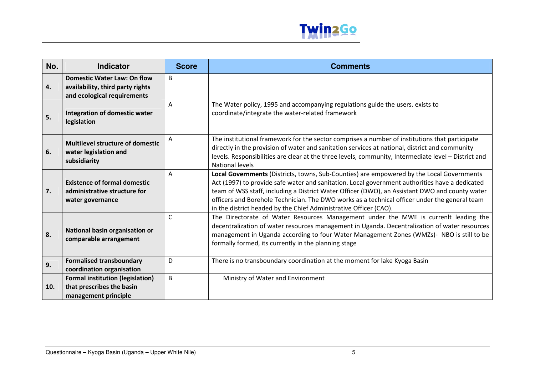

| No. | <b>Indicator</b>                                                                                      | <b>Score</b> | <b>Comments</b>                                                                                                                                                                                                                                                                                                                                                                                                                                                     |
|-----|-------------------------------------------------------------------------------------------------------|--------------|---------------------------------------------------------------------------------------------------------------------------------------------------------------------------------------------------------------------------------------------------------------------------------------------------------------------------------------------------------------------------------------------------------------------------------------------------------------------|
| 4.  | <b>Domestic Water Law: On flow</b><br>availability, third party rights<br>and ecological requirements | B            |                                                                                                                                                                                                                                                                                                                                                                                                                                                                     |
| 5.  | Integration of domestic water<br>legislation                                                          | Α            | The Water policy, 1995 and accompanying regulations guide the users. exists to<br>coordinate/integrate the water-related framework                                                                                                                                                                                                                                                                                                                                  |
| 6.  | <b>Multilevel structure of domestic</b><br>water legislation and<br>subsidiarity                      | A            | The institutional framework for the sector comprises a number of institutions that participate<br>directly in the provision of water and sanitation services at national, district and community<br>levels. Responsibilities are clear at the three levels, community, Intermediate level - District and<br><b>National levels</b>                                                                                                                                  |
| 7.  | <b>Existence of formal domestic</b><br>administrative structure for<br>water governance               | A            | Local Governments (Districts, towns, Sub-Counties) are empowered by the Local Governments<br>Act (1997) to provide safe water and sanitation. Local government authorities have a dedicated<br>team of WSS staff, including a District Water Officer (DWO), an Assistant DWO and county water<br>officers and Borehole Technician. The DWO works as a technical officer under the general team<br>in the district headed by the Chief Administrative Officer (CAO). |
| 8.  | National basin organisation or<br>comparable arrangement                                              | C            | The Directorate of Water Resources Management under the MWE is currenlt leading the<br>decentralization of water resources management in Uganda. Decentralization of water resources<br>management in Uganda according to four Water Management Zones (WMZs)- NBO is still to be<br>formally formed, its currently in the planning stage                                                                                                                            |
| 9.  | <b>Formalised transboundary</b><br>coordination organisation                                          | D            | There is no transboundary coordination at the moment for lake Kyoga Basin                                                                                                                                                                                                                                                                                                                                                                                           |
| 10. | <b>Formal institution (legislation)</b><br>that prescribes the basin<br>management principle          | B            | Ministry of Water and Environment                                                                                                                                                                                                                                                                                                                                                                                                                                   |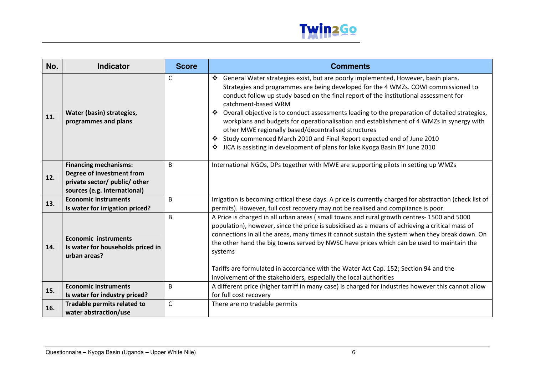

| No. | <b>Indicator</b>                                                                                                           | <b>Score</b> | <b>Comments</b>                                                                                                                                                                                                                                                                                                                                                                                                                                                                                                                                                                                                                                                                                                  |
|-----|----------------------------------------------------------------------------------------------------------------------------|--------------|------------------------------------------------------------------------------------------------------------------------------------------------------------------------------------------------------------------------------------------------------------------------------------------------------------------------------------------------------------------------------------------------------------------------------------------------------------------------------------------------------------------------------------------------------------------------------------------------------------------------------------------------------------------------------------------------------------------|
| 11. | Water (basin) strategies,<br>programmes and plans                                                                          | $\mathsf{C}$ | ❖ General Water strategies exist, but are poorly implemented, However, basin plans.<br>Strategies and programmes are being developed for the 4 WMZs. COWI commissioned to<br>conduct follow up study based on the final report of the institutional assessment for<br>catchment-based WRM<br>Overall objective is to conduct assessments leading to the preparation of detailed strategies,<br>❖<br>workplans and budgets for operationalisation and establishment of 4 WMZs in synergy with<br>other MWE regionally based/decentralised structures<br>Study commenced March 2010 and Final Report expected end of June 2010<br>JICA is assisting in development of plans for lake Kyoga Basin BY June 2010<br>❖ |
| 12. | <b>Financing mechanisms:</b><br>Degree of investment from<br>private sector/ public/ other<br>sources (e.g. international) | B            | International NGOs, DPs together with MWE are supporting pilots in setting up WMZs                                                                                                                                                                                                                                                                                                                                                                                                                                                                                                                                                                                                                               |
| 13. | <b>Economic instruments</b><br>Is water for irrigation priced?                                                             | B            | Irrigation is becoming critical these days. A price is currently charged for abstraction (check list of<br>permits). However, full cost recovery may not be realised and compliance is poor.                                                                                                                                                                                                                                                                                                                                                                                                                                                                                                                     |
| 14. | <b>Economic instruments</b><br>Is water for households priced in<br>urban areas?                                           | B            | A Price is charged in all urban areas (small towns and rural growth centres-1500 and 5000<br>population), however, since the price is subsidised as a means of achieving a critical mass of<br>connections in all the areas, many times it cannot sustain the system when they break down. On<br>the other hand the big towns served by NWSC have prices which can be used to maintain the<br>systems<br>Tariffs are formulated in accordance with the Water Act Cap. 152; Section 94 and the                                                                                                                                                                                                                    |
|     | <b>Economic instruments</b>                                                                                                | B            | involvement of the stakeholders, especially the local authorities<br>A different price (higher tarriff in many case) is charged for industries however this cannot allow                                                                                                                                                                                                                                                                                                                                                                                                                                                                                                                                         |
| 15. | Is water for industry priced?                                                                                              |              | for full cost recovery                                                                                                                                                                                                                                                                                                                                                                                                                                                                                                                                                                                                                                                                                           |
| 16. | Tradable permits related to<br>water abstraction/use                                                                       | $\mathsf{C}$ | There are no tradable permits                                                                                                                                                                                                                                                                                                                                                                                                                                                                                                                                                                                                                                                                                    |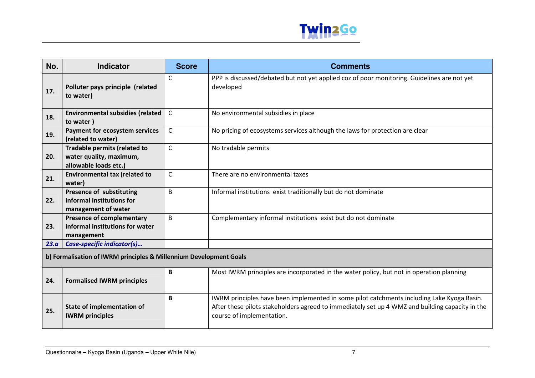

| No.  | <b>Indicator</b>                                                                        | <b>Score</b> | <b>Comments</b>                                                                                                                                                                                                            |  |
|------|-----------------------------------------------------------------------------------------|--------------|----------------------------------------------------------------------------------------------------------------------------------------------------------------------------------------------------------------------------|--|
| 17.  | Polluter pays principle (related<br>to water)                                           | C            | PPP is discussed/debated but not yet applied coz of poor monitoring. Guidelines are not yet<br>developed                                                                                                                   |  |
| 18.  | <b>Environmental subsidies (related</b><br>to water)                                    | $\mathsf{C}$ | No environmental subsidies in place                                                                                                                                                                                        |  |
| 19.  | Payment for ecosystem services<br>(related to water)                                    | $\mathsf{C}$ | No pricing of ecosystems services although the laws for protection are clear                                                                                                                                               |  |
| 20.  | <b>Tradable permits (related to</b><br>water quality, maximum,<br>allowable loads etc.) | $\mathsf{C}$ | No tradable permits                                                                                                                                                                                                        |  |
| 21.  | <b>Environmental tax (related to</b><br>water)                                          | $\mathsf{C}$ | There are no environmental taxes                                                                                                                                                                                           |  |
| 22.  | Presence of substituting<br>informal institutions for<br>management of water            | B            | Informal institutions exist traditionally but do not dominate                                                                                                                                                              |  |
| 23.  | <b>Presence of complementary</b><br>informal institutions for water<br>management       | B            | Complementary informal institutions exist but do not dominate                                                                                                                                                              |  |
| 23.a | Case-specific indicator(s)                                                              |              |                                                                                                                                                                                                                            |  |
|      | b) Formalisation of IWRM principles & Millennium Development Goals                      |              |                                                                                                                                                                                                                            |  |
| 24.  | <b>Formalised IWRM principles</b>                                                       | B            | Most IWRM principles are incorporated in the water policy, but not in operation planning                                                                                                                                   |  |
| 25.  | State of implementation of<br><b>IWRM</b> principles                                    | B            | IWRM principles have been implemented in some pilot catchments including Lake Kyoga Basin.<br>After these pilots stakeholders agreed to immediately set up 4 WMZ and building capacity in the<br>course of implementation. |  |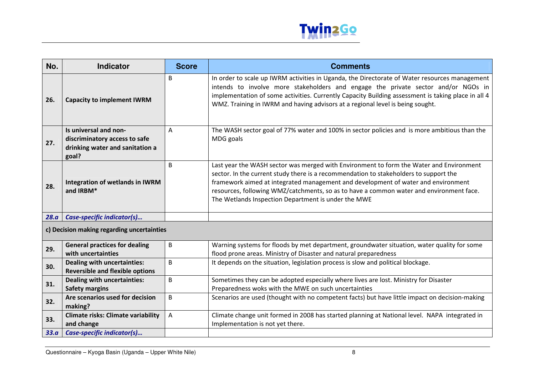

| No.                                        | <b>Indicator</b>                                                             | <b>Score</b> | <b>Comments</b>                                                                                                                                                                                                                                                                                                                                                                                                         |
|--------------------------------------------|------------------------------------------------------------------------------|--------------|-------------------------------------------------------------------------------------------------------------------------------------------------------------------------------------------------------------------------------------------------------------------------------------------------------------------------------------------------------------------------------------------------------------------------|
| 26.                                        | <b>Capacity to implement IWRM</b>                                            | B            | In order to scale up IWRM activities in Uganda, the Directorate of Water resources management<br>intends to involve more stakeholders and engage the private sector and/or NGOs in<br>implementation of some activities. Currently Capacity Building assessment is taking place in all 4<br>WMZ. Training in IWRM and having advisors at a regional level is being sought.                                              |
|                                            | Is universal and non-                                                        | Α            | The WASH sector goal of 77% water and 100% in sector policies and is more ambitious than the                                                                                                                                                                                                                                                                                                                            |
| 27.                                        | discriminatory access to safe                                                |              | MDG goals                                                                                                                                                                                                                                                                                                                                                                                                               |
|                                            | drinking water and sanitation a<br>goal?                                     |              |                                                                                                                                                                                                                                                                                                                                                                                                                         |
| 28.                                        | Integration of wetlands in IWRM<br>and IRBM*                                 | B            | Last year the WASH sector was merged with Environment to form the Water and Environment<br>sector. In the current study there is a recommendation to stakeholders to support the<br>framework aimed at integrated management and development of water and environment<br>resources, following WMZ/catchments, so as to have a common water and environment face.<br>The Wetlands Inspection Department is under the MWE |
| 28.a                                       | Case-specific indicator(s)                                                   |              |                                                                                                                                                                                                                                                                                                                                                                                                                         |
| c) Decision making regarding uncertainties |                                                                              |              |                                                                                                                                                                                                                                                                                                                                                                                                                         |
| 29.                                        | <b>General practices for dealing</b><br>with uncertainties                   | B            | Warning systems for floods by met department, groundwater situation, water quality for some<br>flood prone areas. Ministry of Disaster and natural preparedness                                                                                                                                                                                                                                                         |
| 30.                                        | <b>Dealing with uncertainties:</b><br><b>Reversible and flexible options</b> | B            | It depends on the situation, legislation process is slow and political blockage.                                                                                                                                                                                                                                                                                                                                        |
| 31.                                        | <b>Dealing with uncertainties:</b>                                           | B            | Sometimes they can be adopted especially where lives are lost. Ministry for Disaster                                                                                                                                                                                                                                                                                                                                    |
|                                            | <b>Safety margins</b>                                                        |              | Preparedness woks with the MWE on such uncertainties                                                                                                                                                                                                                                                                                                                                                                    |
| 32.                                        | Are scenarios used for decision<br>making?                                   | B            | Scenarios are used (thought with no competent facts) but have little impact on decision-making                                                                                                                                                                                                                                                                                                                          |
| 33.                                        | <b>Climate risks: Climate variability</b><br>and change                      | Α            | Climate change unit formed in 2008 has started planning at National level. NAPA integrated in<br>Implementation is not yet there.                                                                                                                                                                                                                                                                                       |
| 33.a                                       | Case-specific indicator(s)                                                   |              |                                                                                                                                                                                                                                                                                                                                                                                                                         |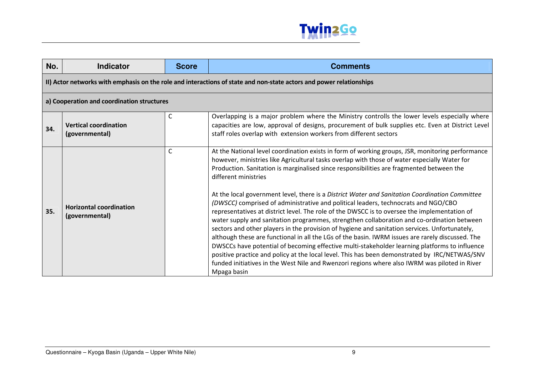

| No. | <b>Indicator</b>                                 | <b>Score</b> | <b>Comments</b>                                                                                                                                                                                                                                                                                                                                                                                                                                                                                                                                                                                                                                                                                                                                                                                                                                                                                                                                                                                                                                                                                                                                                                                                                   |
|-----|--------------------------------------------------|--------------|-----------------------------------------------------------------------------------------------------------------------------------------------------------------------------------------------------------------------------------------------------------------------------------------------------------------------------------------------------------------------------------------------------------------------------------------------------------------------------------------------------------------------------------------------------------------------------------------------------------------------------------------------------------------------------------------------------------------------------------------------------------------------------------------------------------------------------------------------------------------------------------------------------------------------------------------------------------------------------------------------------------------------------------------------------------------------------------------------------------------------------------------------------------------------------------------------------------------------------------|
|     |                                                  |              | II) Actor networks with emphasis on the role and interactions of state and non-state actors and power relationships                                                                                                                                                                                                                                                                                                                                                                                                                                                                                                                                                                                                                                                                                                                                                                                                                                                                                                                                                                                                                                                                                                               |
|     | a) Cooperation and coordination structures       |              |                                                                                                                                                                                                                                                                                                                                                                                                                                                                                                                                                                                                                                                                                                                                                                                                                                                                                                                                                                                                                                                                                                                                                                                                                                   |
| 34. | <b>Vertical coordination</b><br>(governmental)   | С            | Overlapping is a major problem where the Ministry controlls the lower levels especially where<br>capacities are low, approval of designs, procurement of bulk supplies etc. Even at District Level<br>staff roles overlap with extension workers from different sectors                                                                                                                                                                                                                                                                                                                                                                                                                                                                                                                                                                                                                                                                                                                                                                                                                                                                                                                                                           |
| 35. | <b>Horizontal coordination</b><br>(governmental) | C            | At the National level coordination exists in form of working groups, JSR, monitoring performance<br>however, ministries like Agricultural tasks overlap with those of water especially Water for<br>Production. Sanitation is marginalised since responsibilities are fragmented between the<br>different ministries<br>At the local government level, there is a District Water and Sanitation Coordination Committee<br>(DWSCC) comprised of administrative and political leaders, technocrats and NGO/CBO<br>representatives at district level. The role of the DWSCC is to oversee the implementation of<br>water supply and sanitation programmes, strengthen collaboration and co-ordination between<br>sectors and other players in the provision of hygiene and sanitation services. Unfortunately,<br>although these are functional in all the LGs of the basin. IWRM issues are rarely discussed. The<br>DWSCCs have potential of becoming effective multi-stakeholder learning platforms to influence<br>positive practice and policy at the local level. This has been demonstrated by IRC/NETWAS/SNV<br>funded initiatives in the West Nile and Rwenzori regions where also IWRM was piloted in River<br>Mpaga basin |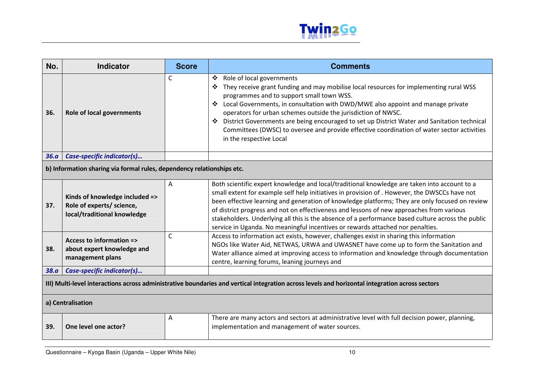

| No.                                                                                                                                             | <b>Indicator</b>                                                                           | <b>Score</b> | <b>Comments</b>                                                                                                                                                                                                                                                                                                                                                                                                                                                                                                                                                                    |  |
|-------------------------------------------------------------------------------------------------------------------------------------------------|--------------------------------------------------------------------------------------------|--------------|------------------------------------------------------------------------------------------------------------------------------------------------------------------------------------------------------------------------------------------------------------------------------------------------------------------------------------------------------------------------------------------------------------------------------------------------------------------------------------------------------------------------------------------------------------------------------------|--|
| 36.                                                                                                                                             | <b>Role of local governments</b>                                                           | $\mathsf{C}$ | Role of local governments<br>❖<br>They receive grant funding and may mobilise local resources for implementing rural WSS<br>❖<br>programmes and to support small town WSS.<br>Local Governments, in consultation with DWD/MWE also appoint and manage private<br>operators for urban schemes outside the jurisdiction of NWSC.<br>District Governments are being encouraged to set up District Water and Sanitation technical<br>Committees (DWSC) to oversee and provide effective coordination of water sector activities<br>in the respective Local                             |  |
| 36.a                                                                                                                                            | Case-specific indicator(s)                                                                 |              |                                                                                                                                                                                                                                                                                                                                                                                                                                                                                                                                                                                    |  |
|                                                                                                                                                 | b) Information sharing via formal rules, dependency relationships etc.                     |              |                                                                                                                                                                                                                                                                                                                                                                                                                                                                                                                                                                                    |  |
| 37.                                                                                                                                             | Kinds of knowledge included =><br>Role of experts/ science,<br>local/traditional knowledge | Α            | Both scientific expert knowledge and local/traditional knowledge are taken into account to a<br>small extent for example self help initiatives in provision of . However, the DWSCCs have not<br>been effective learning and generation of knowledge platforms; They are only focused on review<br>of district progress and not on effectiveness and lessons of new approaches from various<br>stakeholders. Underlying all this is the absence of a performance based culture across the public<br>service in Uganda. No meaningful incentives or rewards attached nor penalties. |  |
| 38.                                                                                                                                             | Access to information =><br>about expert knowledge and<br>management plans                 | $\mathsf{C}$ | Access to information act exists, however, challenges exist in sharing this information<br>NGOs like Water Aid, NETWAS, URWA and UWASNET have come up to form the Sanitation and<br>Water alliance aimed at improving access to information and knowledge through documentation<br>centre, learning forums, leaning journeys and                                                                                                                                                                                                                                                   |  |
| 38.a                                                                                                                                            | Case-specific indicator(s)                                                                 |              |                                                                                                                                                                                                                                                                                                                                                                                                                                                                                                                                                                                    |  |
| III) Multi-level interactions across administrative boundaries and vertical integration across levels and horizontal integration across sectors |                                                                                            |              |                                                                                                                                                                                                                                                                                                                                                                                                                                                                                                                                                                                    |  |
|                                                                                                                                                 | a) Centralisation                                                                          |              |                                                                                                                                                                                                                                                                                                                                                                                                                                                                                                                                                                                    |  |
| 39.                                                                                                                                             | One level one actor?                                                                       | A            | There are many actors and sectors at administrative level with full decision power, planning,<br>implementation and management of water sources.                                                                                                                                                                                                                                                                                                                                                                                                                                   |  |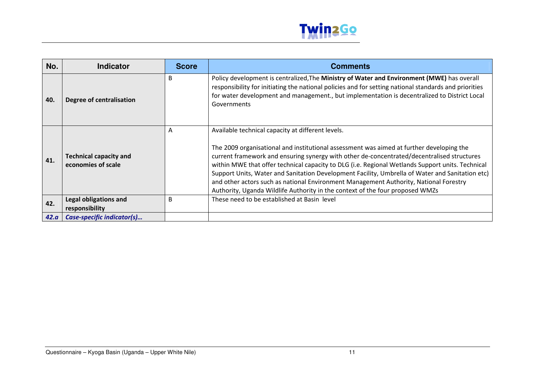

| No.  | Indicator                                           | <b>Score</b> | <b>Comments</b>                                                                                                                                                                                                                                                                                                                                                                                                                                                                                                                                                                                                              |
|------|-----------------------------------------------------|--------------|------------------------------------------------------------------------------------------------------------------------------------------------------------------------------------------------------------------------------------------------------------------------------------------------------------------------------------------------------------------------------------------------------------------------------------------------------------------------------------------------------------------------------------------------------------------------------------------------------------------------------|
| 40.  | Degree of centralisation                            | B            | Policy development is centralized, The Ministry of Water and Environment (MWE) has overall<br>responsibility for initiating the national policies and for setting national standards and priorities<br>for water development and management., but implementation is decentralized to District Local<br>Governments                                                                                                                                                                                                                                                                                                           |
| 41.  | <b>Technical capacity and</b><br>economies of scale | A            | Available technical capacity at different levels.<br>The 2009 organisational and institutional assessment was aimed at further developing the<br>current framework and ensuring synergy with other de-concentrated/decentralised structures<br>within MWE that offer technical capacity to DLG (i.e. Regional Wetlands Support units. Technical<br>Support Units, Water and Sanitation Development Facility, Umbrella of Water and Sanitation etc)<br>and other actors such as national Environment Management Authority, National Forestry<br>Authority, Uganda Wildlife Authority in the context of the four proposed WMZs |
| 42.  | <b>Legal obligations and</b><br>responsibility      | B            | These need to be established at Basin level                                                                                                                                                                                                                                                                                                                                                                                                                                                                                                                                                                                  |
| 42.a | Case-specific indicator(s)                          |              |                                                                                                                                                                                                                                                                                                                                                                                                                                                                                                                                                                                                                              |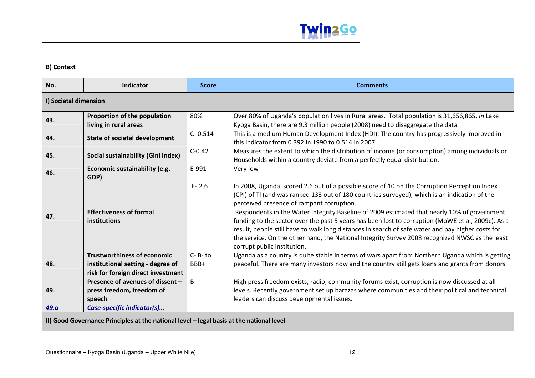

#### B) Context

| No.                                                                                      | <b>Indicator</b>                                                                                              | <b>Score</b>         | <b>Comments</b>                                                                                                                                                                                                                                                                                                                                                                                                                                                                                                                                                                                                                                                                      |
|------------------------------------------------------------------------------------------|---------------------------------------------------------------------------------------------------------------|----------------------|--------------------------------------------------------------------------------------------------------------------------------------------------------------------------------------------------------------------------------------------------------------------------------------------------------------------------------------------------------------------------------------------------------------------------------------------------------------------------------------------------------------------------------------------------------------------------------------------------------------------------------------------------------------------------------------|
| I) Societal dimension                                                                    |                                                                                                               |                      |                                                                                                                                                                                                                                                                                                                                                                                                                                                                                                                                                                                                                                                                                      |
| 43.                                                                                      | Proportion of the population<br>living in rural areas                                                         | 80%                  | Over 80% of Uganda's population lives in Rural areas. Total population is 31,656,865. In Lake<br>Kyoga Basin, there are 9.3 million people (2008) need to disaggregate the data                                                                                                                                                                                                                                                                                                                                                                                                                                                                                                      |
| 44.                                                                                      | <b>State of societal development</b>                                                                          | $C - 0.514$          | This is a medium Human Development Index (HDI). The country has progressively improved in<br>this indicator from 0.392 in 1990 to 0.514 in 2007.                                                                                                                                                                                                                                                                                                                                                                                                                                                                                                                                     |
| 45.                                                                                      | Social sustainability (Gini Index)                                                                            | $C-0.42$             | Measures the extent to which the distribution of income (or consumption) among individuals or<br>Households within a country deviate from a perfectly equal distribution.                                                                                                                                                                                                                                                                                                                                                                                                                                                                                                            |
| 46.                                                                                      | Economic sustainability (e.g.<br>GDP)                                                                         | E-991                | Very low                                                                                                                                                                                                                                                                                                                                                                                                                                                                                                                                                                                                                                                                             |
| 47.                                                                                      | <b>Effectiveness of formal</b><br><b>institutions</b>                                                         | $E - 2.6$            | In 2008, Uganda scored 2.6 out of a possible score of 10 on the Corruption Perception Index<br>(CPI) of TI (and was ranked 133 out of 180 countries surveyed), which is an indication of the<br>perceived presence of rampant corruption.<br>Respondents in the Water Integrity Baseline of 2009 estimated that nearly 10% of government<br>funding to the sector over the past 5 years has been lost to corruption (MoWE et al, 2009c). As a<br>result, people still have to walk long distances in search of safe water and pay higher costs for<br>the service. On the other hand, the National Integrity Survey 2008 recognized NWSC as the least<br>corrupt public institution. |
| 48.                                                                                      | <b>Trustworthiness of economic</b><br>institutional setting - degree of<br>risk for foreign direct investment | $C - B - to$<br>BBB+ | Uganda as a country is quite stable in terms of wars apart from Northern Uganda which is getting<br>peaceful. There are many investors now and the country still gets loans and grants from donors                                                                                                                                                                                                                                                                                                                                                                                                                                                                                   |
| 49.                                                                                      | Presence of avenues of dissent -<br>press freedom, freedom of<br>speech                                       | B                    | High press freedom exists, radio, community forums exist, corruption is now discussed at all<br>levels. Recently government set up barazas where communities and their political and technical<br>leaders can discuss developmental issues.                                                                                                                                                                                                                                                                                                                                                                                                                                          |
| 49.a                                                                                     | Case-specific indicator(s)                                                                                    |                      |                                                                                                                                                                                                                                                                                                                                                                                                                                                                                                                                                                                                                                                                                      |
| II) Good Governance Principles at the national level - legal basis at the national level |                                                                                                               |                      |                                                                                                                                                                                                                                                                                                                                                                                                                                                                                                                                                                                                                                                                                      |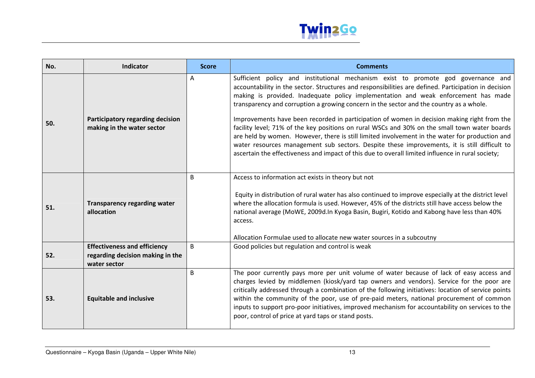

| No. | Indicator                                                                               | <b>Score</b> | <b>Comments</b>                                                                                                                                                                                                                                                                                                                                                                                                                                                                                                                                                                                                                                                                                                                                                                                                                                                                   |
|-----|-----------------------------------------------------------------------------------------|--------------|-----------------------------------------------------------------------------------------------------------------------------------------------------------------------------------------------------------------------------------------------------------------------------------------------------------------------------------------------------------------------------------------------------------------------------------------------------------------------------------------------------------------------------------------------------------------------------------------------------------------------------------------------------------------------------------------------------------------------------------------------------------------------------------------------------------------------------------------------------------------------------------|
| 50. | Participatory regarding decision<br>making in the water sector                          | A            | Sufficient policy and institutional mechanism exist to promote god governance and<br>accountability in the sector. Structures and responsibilities are defined. Participation in decision<br>making is provided. Inadequate policy implementation and weak enforcement has made<br>transparency and corruption a growing concern in the sector and the country as a whole.<br>Improvements have been recorded in participation of women in decision making right from the<br>facility level; 71% of the key positions on rural WSCs and 30% on the small town water boards<br>are held by women. However, there is still limited involvement in the water for production and<br>water resources management sub sectors. Despite these improvements, it is still difficult to<br>ascertain the effectiveness and impact of this due to overall limited influence in rural society; |
| 51. | <b>Transparency regarding water</b><br>allocation                                       | B            | Access to information act exists in theory but not<br>Equity in distribution of rural water has also continued to improve especially at the district level<br>where the allocation formula is used. However, 45% of the districts still have access below the<br>national average (MoWE, 2009d.In Kyoga Basin, Bugiri, Kotido and Kabong have less than 40%<br>access.<br>Allocation Formulae used to allocate new water sources in a subcoutny                                                                                                                                                                                                                                                                                                                                                                                                                                   |
| 52. | <b>Effectiveness and efficiency</b><br>regarding decision making in the<br>water sector | B            | Good policies but regulation and control is weak                                                                                                                                                                                                                                                                                                                                                                                                                                                                                                                                                                                                                                                                                                                                                                                                                                  |
| 53. | <b>Equitable and inclusive</b>                                                          | B            | The poor currently pays more per unit volume of water because of lack of easy access and<br>charges levied by middlemen (kiosk/yard tap owners and vendors). Service for the poor are<br>critically addressed through a combination of the following initiatives: location of service points<br>within the community of the poor, use of pre-paid meters, national procurement of common<br>inputs to support pro-poor initiatives, improved mechanism for accountability on services to the<br>poor, control of price at yard taps or stand posts.                                                                                                                                                                                                                                                                                                                               |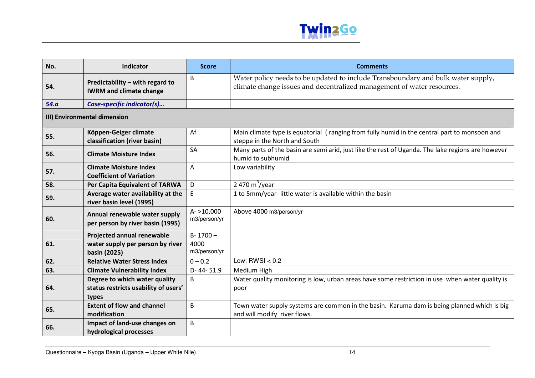

| No.                          | <b>Indicator</b>                                                               | <b>Score</b>                         | <b>Comments</b>                                                                                                                                            |  |
|------------------------------|--------------------------------------------------------------------------------|--------------------------------------|------------------------------------------------------------------------------------------------------------------------------------------------------------|--|
| 54.                          | Predictability - with regard to<br><b>IWRM and climate change</b>              | B                                    | Water policy needs to be updated to include Transboundary and bulk water supply,<br>climate change issues and decentralized management of water resources. |  |
| 54.a                         | Case-specific indicator(s)                                                     |                                      |                                                                                                                                                            |  |
| III) Environmental dimension |                                                                                |                                      |                                                                                                                                                            |  |
| 55.                          | Köppen-Geiger climate<br>classification (river basin)                          | Af                                   | Main climate type is equatorial (ranging from fully humid in the central part to monsoon and<br>steppe in the North and South                              |  |
| 56.                          | <b>Climate Moisture Index</b>                                                  | SA                                   | Many parts of the basin are semi arid, just like the rest of Uganda. The lake regions are however<br>humid to subhumid                                     |  |
| 57.                          | <b>Climate Moisture Index</b><br><b>Coefficient of Variation</b>               | A                                    | Low variability                                                                                                                                            |  |
| 58.                          | Per Capita Equivalent of TARWA                                                 | D                                    | 2 470 $m^3$ /year                                                                                                                                          |  |
| 59.                          | Average water availability at the<br>river basin level (1995)                  | E                                    | 1 to 5mm/year-little water is available within the basin                                                                                                   |  |
| 60.                          | Annual renewable water supply<br>per person by river basin (1995)              | $A - 10,000$<br>m3/person/yr         | Above 4000 m3/person/yr                                                                                                                                    |  |
| 61.                          | Projected annual renewable<br>water supply per person by river<br>basin (2025) | $B - 1700 -$<br>4000<br>m3/person/yr |                                                                                                                                                            |  |
| 62.                          | <b>Relative Water Stress Index</b>                                             | $0 - 0.2$                            | Low: RWSI $< 0.2$                                                                                                                                          |  |
| 63.                          | <b>Climate Vulnerability Index</b>                                             | D-44-51.9                            | Medium High                                                                                                                                                |  |
| 64.                          | Degree to which water quality<br>status restricts usability of users'<br>types | B                                    | Water quality monitoring is low, urban areas have some restriction in use when water quality is<br>poor                                                    |  |
| 65.                          | <b>Extent of flow and channel</b><br>modification                              | B                                    | Town water supply systems are common in the basin. Karuma dam is being planned which is big<br>and will modify river flows.                                |  |
| 66.                          | Impact of land-use changes on<br>hydrological processes                        | B                                    |                                                                                                                                                            |  |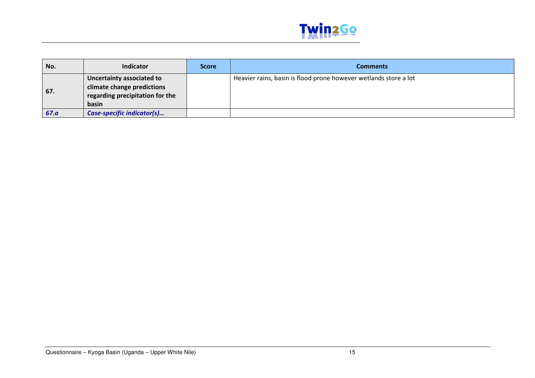

| No.  | <b>Indicator</b>                | <b>Score</b> | <b>Comments</b>                                                  |
|------|---------------------------------|--------------|------------------------------------------------------------------|
|      | Uncertainty associated to       |              | Heavier rains, basin is flood prone however wetlands store a lot |
|      | climate change predictions      |              |                                                                  |
| 67.  | regarding precipitation for the |              |                                                                  |
|      | basin                           |              |                                                                  |
| 67.a | Case-specific indicator(s)      |              |                                                                  |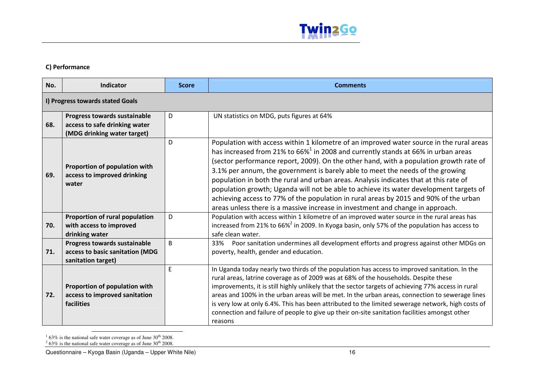

#### C) Performance

| No. | Indicator                                                                                    | <b>Score</b> | <b>Comments</b>                                                                                                                                                                                                                                                                                                                                                                                                                                                                                                                                                                                                                                                                                                                     |
|-----|----------------------------------------------------------------------------------------------|--------------|-------------------------------------------------------------------------------------------------------------------------------------------------------------------------------------------------------------------------------------------------------------------------------------------------------------------------------------------------------------------------------------------------------------------------------------------------------------------------------------------------------------------------------------------------------------------------------------------------------------------------------------------------------------------------------------------------------------------------------------|
|     | I) Progress towards stated Goals                                                             |              |                                                                                                                                                                                                                                                                                                                                                                                                                                                                                                                                                                                                                                                                                                                                     |
| 68. | Progress towards sustainable<br>access to safe drinking water<br>(MDG drinking water target) | D            | UN statistics on MDG, puts figures at 64%                                                                                                                                                                                                                                                                                                                                                                                                                                                                                                                                                                                                                                                                                           |
| 69. | Proportion of population with<br>access to improved drinking<br>water                        | D            | Population with access within 1 kilometre of an improved water source in the rural areas<br>has increased from 21% to 66% <sup>1</sup> in 2008 and currently stands at 66% in urban areas<br>(sector performance report, 2009). On the other hand, with a population growth rate of<br>3.1% per annum, the government is barely able to meet the needs of the growing<br>population in both the rural and urban areas. Analysis indicates that at this rate of<br>population growth; Uganda will not be able to achieve its water development targets of<br>achieving access to 77% of the population in rural areas by 2015 and 90% of the urban<br>areas unless there is a massive increase in investment and change in approach. |
| 70. | Proportion of rural population<br>with access to improved<br>drinking water                  | D            | Population with access within 1 kilometre of an improved water source in the rural areas has<br>increased from 21% to 66% <sup>2</sup> in 2009. In Kyoga basin, only 57% of the population has access to<br>safe clean water.                                                                                                                                                                                                                                                                                                                                                                                                                                                                                                       |
| 71. | Progress towards sustainable<br>access to basic sanitation (MDG<br>sanitation target)        | <sub>B</sub> | Poor sanitation undermines all development efforts and progress against other MDGs on<br>33%<br>poverty, health, gender and education.                                                                                                                                                                                                                                                                                                                                                                                                                                                                                                                                                                                              |
| 72. | Proportion of population with<br>access to improved sanitation<br>facilities                 | E            | In Uganda today nearly two thirds of the population has access to improved sanitation. In the<br>rural areas, latrine coverage as of 2009 was at 68% of the households. Despite these<br>improvements, it is still highly unlikely that the sector targets of achieving 77% access in rural<br>areas and 100% in the urban areas will be met. In the urban areas, connection to sewerage lines<br>is very low at only 6.4%. This has been attributed to the limited sewerage network, high costs of<br>connection and failure of people to give up their on-site sanitation facilities amongst other<br>reasons                                                                                                                     |

<sup>1</sup> 63% is the national safe water coverage as of June 30<sup>th</sup> 2008.<br><sup>2</sup> 63% is the national safe water coverage as of June 30<sup>th</sup> 2008.

Questionnaire – Kyoga Basin (Uganda – Upper White Nile) 16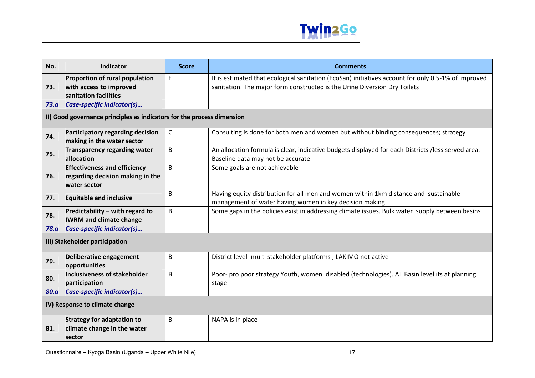

| No.                                                                    | <b>Indicator</b>                                                                        | <b>Score</b> | <b>Comments</b>                                                                                                                                                                  |
|------------------------------------------------------------------------|-----------------------------------------------------------------------------------------|--------------|----------------------------------------------------------------------------------------------------------------------------------------------------------------------------------|
| 73.                                                                    | Proportion of rural population<br>with access to improved<br>sanitation facilities      | E            | It is estimated that ecological sanitation (EcoSan) initiatives account for only 0.5-1% of improved<br>sanitation. The major form constructed is the Urine Diversion Dry Toilets |
| 73.a                                                                   | Case-specific indicator(s)                                                              |              |                                                                                                                                                                                  |
| II) Good governance principles as indicators for the process dimension |                                                                                         |              |                                                                                                                                                                                  |
| 74.                                                                    | Participatory regarding decision<br>making in the water sector                          | $\mathsf{C}$ | Consulting is done for both men and women but without binding consequences; strategy                                                                                             |
| 75.                                                                    | <b>Transparency regarding water</b><br>allocation                                       | B            | An allocation formula is clear, indicative budgets displayed for each Districts /less served area.<br>Baseline data may not be accurate                                          |
| 76.                                                                    | <b>Effectiveness and efficiency</b><br>regarding decision making in the<br>water sector | B            | Some goals are not achievable                                                                                                                                                    |
| 77.                                                                    | <b>Equitable and inclusive</b>                                                          | B            | Having equity distribution for all men and women within 1km distance and sustainable<br>management of water having women in key decision making                                  |
| 78.                                                                    | Predictability - with regard to<br><b>IWRM and climate change</b>                       | B            | Some gaps in the policies exist in addressing climate issues. Bulk water supply between basins                                                                                   |
| 78.a                                                                   | Case-specific indicator(s)                                                              |              |                                                                                                                                                                                  |
| III) Stakeholder participation                                         |                                                                                         |              |                                                                                                                                                                                  |
| 79.                                                                    | Deliberative engagement<br>opportunities                                                | B            | District level- multi stakeholder platforms ; LAKIMO not active                                                                                                                  |
| 80.                                                                    | <b>Inclusiveness of stakeholder</b><br>participation                                    | B            | Poor- pro poor strategy Youth, women, disabled (technologies). AT Basin level its at planning<br>stage                                                                           |
| 80.a                                                                   | Case-specific indicator(s)                                                              |              |                                                                                                                                                                                  |
| IV) Response to climate change                                         |                                                                                         |              |                                                                                                                                                                                  |
| 81.                                                                    | <b>Strategy for adaptation to</b><br>climate change in the water<br>sector              | B            | NAPA is in place                                                                                                                                                                 |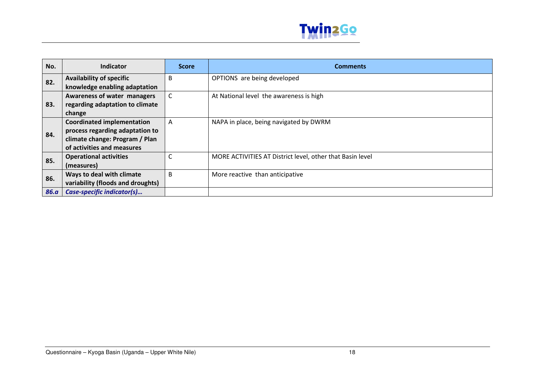

| No.         | <b>Indicator</b>                  | <b>Score</b>   | <b>Comments</b>                                           |
|-------------|-----------------------------------|----------------|-----------------------------------------------------------|
| 82.         | <b>Availability of specific</b>   | B              | OPTIONS are being developed                               |
|             | knowledge enabling adaptation     |                |                                                           |
| 83.         | Awareness of water managers       | C              | At National level the awareness is high                   |
|             | regarding adaptation to climate   |                |                                                           |
|             | change                            |                |                                                           |
| 84.         | <b>Coordinated implementation</b> | $\overline{A}$ | NAPA in place, being navigated by DWRM                    |
|             | process regarding adaptation to   |                |                                                           |
|             | climate change: Program / Plan    |                |                                                           |
|             | of activities and measures        |                |                                                           |
| 85.         | <b>Operational activities</b>     |                | MORE ACTIVITIES AT District level, other that Basin level |
|             | (measures)                        |                |                                                           |
| 86.         | Ways to deal with climate         | B              | More reactive than anticipative                           |
|             | variability (floods and droughts) |                |                                                           |
| <b>86.a</b> | Case-specific indicator(s)        |                |                                                           |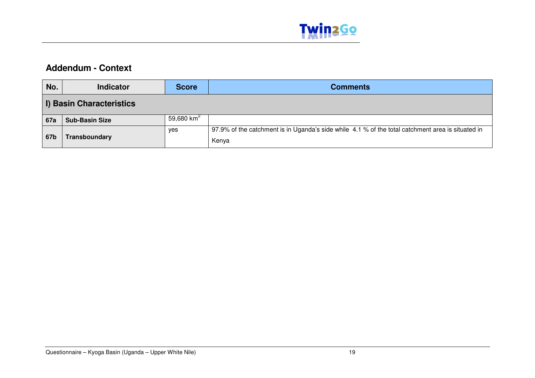

## **Addendum - Context**

| No.        | <b>Indicator</b>         | <b>Score</b> | <b>Comments</b>                                                                                            |
|------------|--------------------------|--------------|------------------------------------------------------------------------------------------------------------|
|            | I) Basin Characteristics |              |                                                                                                            |
| <b>67a</b> | <b>Sub-Basin Size</b>    | 59,680 $km2$ |                                                                                                            |
| 67b        | Transboundary            | yes          | 97.9% of the catchment is in Uganda's side while 4.1 % of the total catchment area is situated in<br>Kenya |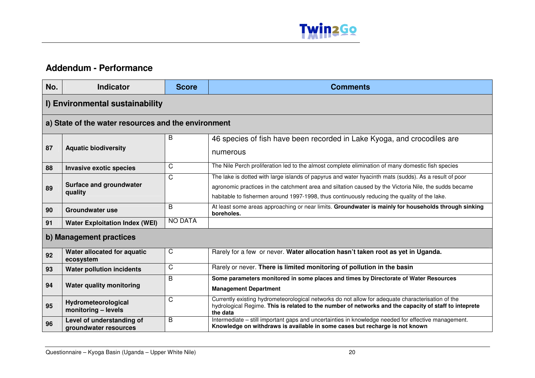

## **Addendum - Performance**

| No.                     | <b>Indicator</b>                                    | <b>Score</b>   | <b>Comments</b>                                                                                                                                                                                                                                                                                                |  |
|-------------------------|-----------------------------------------------------|----------------|----------------------------------------------------------------------------------------------------------------------------------------------------------------------------------------------------------------------------------------------------------------------------------------------------------------|--|
|                         | I) Environmental sustainability                     |                |                                                                                                                                                                                                                                                                                                                |  |
|                         | a) State of the water resources and the environment |                |                                                                                                                                                                                                                                                                                                                |  |
| 87                      | <b>Aquatic biodiversity</b>                         | B              | 46 species of fish have been recorded in Lake Kyoga, and crocodiles are<br>numerous                                                                                                                                                                                                                            |  |
| 88                      | <b>Invasive exotic species</b>                      | C              | The Nile Perch proliferation led to the almost complete elimination of many domestic fish species                                                                                                                                                                                                              |  |
| 89                      | <b>Surface and groundwater</b><br>quality           | C              | The lake is dotted with large islands of papyrus and water hyacinth mats (sudds). As a result of poor<br>agronomic practices in the catchment area and siltation caused by the Victoria Nile, the sudds became<br>habitable to fishermen around 1997-1998, thus continuously reducing the quality of the lake. |  |
| 90                      | Groundwater use                                     | B              | At least some areas approaching or near limits. Groundwater is mainly for households through sinking<br>boreholes.                                                                                                                                                                                             |  |
| 91                      | <b>Water Exploitation Index (WEI)</b>               | <b>NO DATA</b> |                                                                                                                                                                                                                                                                                                                |  |
| b) Management practices |                                                     |                |                                                                                                                                                                                                                                                                                                                |  |
| 92                      | Water allocated for aquatic<br>ecosystem            | C              | Rarely for a few or never. Water allocation hasn't taken root as yet in Uganda.                                                                                                                                                                                                                                |  |
| 93                      | <b>Water pollution incidents</b>                    | C              | Rarely or never. There is limited monitoring of pollution in the basin                                                                                                                                                                                                                                         |  |
| 94                      | <b>Water quality monitoring</b>                     | B              | Some parameters monitored in some places and times by Directorate of Water Resources<br><b>Management Department</b>                                                                                                                                                                                           |  |
| 95                      | Hydrometeorological<br>monitoring - levels          | C              | Currently existing hydrometeorological networks do not allow for adequate characterisation of the<br>hydrological Regime. This is related to the number of networks and the capacity of staff to inteprete<br>the data                                                                                         |  |
| 96                      | Level of understanding of<br>aroundwater resources  | В              | Intermediate – still important gaps and uncertainties in knowledge needed for effective management.<br>Knowledge on withdraws is available in some cases but recharge is not known                                                                                                                             |  |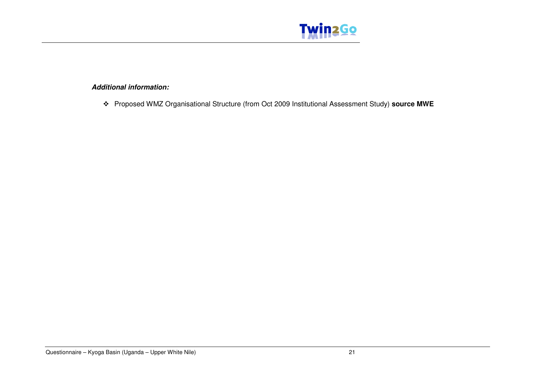

### **Additional information:**

Proposed WMZ Organisational Structure (from Oct 2009 Institutional Assessment Study) **source MWE**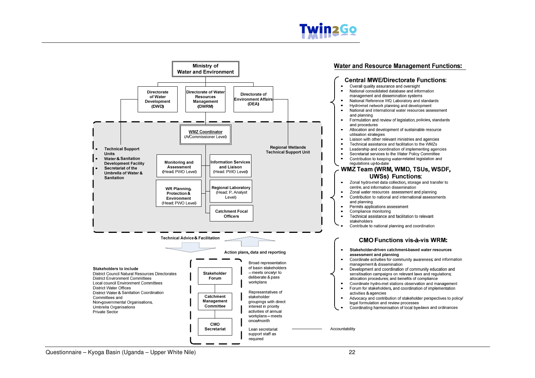